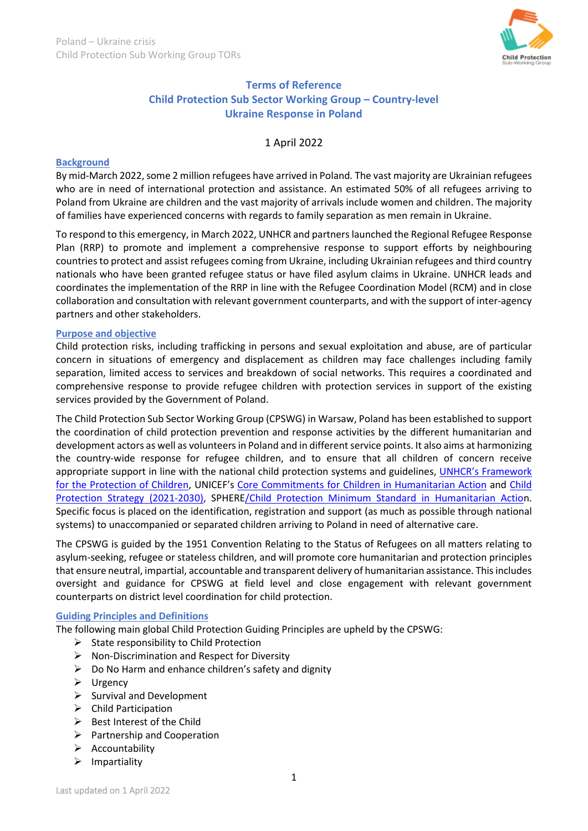

## **Terms of Reference Child Protection Sub Sector Working Group – Country-level Ukraine Response in Poland**

1 April 2022

#### **Background**

By mid-March 2022, some 2 million refugees have arrived in Poland*.* The vast majority are Ukrainian refugees who are in need of international protection and assistance. An estimated 50% of all refugees arriving to Poland from Ukraine are children and the vast majority of arrivals include women and children. The majority of families have experienced concerns with regards to family separation as men remain in Ukraine.

To respond to this emergency, in March 2022, UNHCR and partners launched the Regional Refugee Response Plan (RRP) to promote and implement a comprehensive response to support efforts by neighbouring countries to protect and assist refugees coming from Ukraine, including Ukrainian refugees and third country nationals who have been granted refugee status or have filed asylum claims in Ukraine. UNHCR leads and coordinates the implementation of the RRP in line with the Refugee Coordination Model (RCM) and in close collaboration and consultation with relevant government counterparts, and with the support of inter-agency partners and other stakeholders.

#### **Purpose and objective**

Child protection risks, including trafficking in persons and sexual exploitation and abuse, are of particular concern in situations of emergency and displacement as children may face challenges including family separation, limited access to services and breakdown of social networks. This requires a coordinated and comprehensive response to provide refugee children with protection services in support of the existing services provided by the Government of Poland.

The Child Protection Sub Sector Working Group (CPSWG) in Warsaw, Poland has been established to support the coordination of child protection prevention and response activities by the different humanitarian and development actors as well as volunteers in Poland and in different service points. It also aims at harmonizing the country-wide response for refugee children, and to ensure that all children of concern receive appropriate support in line with the national child protection systems and guidelines, [UNHCR's Framework](https://www.refworld.org/pdfid/5c18d7254.pdf)  [for the Protection of Children,](https://www.refworld.org/pdfid/5c18d7254.pdf) UNICEF's [Core Commitments for Children in Humanitarian Action](https://www.unicef.org/media/87611/file/Core%20Commitments%20for%20Children%20(English).pdf) and [Child](https://www.unicef.org/media/104416/file/Child-Protection-Strategy-2021.pdf)  [Protection Strategy \(2021-2030\),](https://www.unicef.org/media/104416/file/Child-Protection-Strategy-2021.pdf) [SPHERE/Child Protection Minimum Standard in Humanitarian Action](https://alliancecpha.org/en/CPMS_home). Specific focus is placed on the identification, registration and support (as much as possible through national systems) to unaccompanied or separated children arriving to Poland in need of alternative care.

The CPSWG is guided by the 1951 Convention Relating to the Status of Refugees on all matters relating to asylum-seeking, refugee or stateless children, and will promote core humanitarian and protection principles that ensure neutral, impartial, accountable and transparent delivery of humanitarian assistance. This includes oversight and guidance for CPSWG at field level and close engagement with relevant government counterparts on district level coordination for child protection.

#### **Guiding Principles and Definitions**

The following main global Child Protection Guiding Principles are upheld by the CPSWG:

- $\triangleright$  State responsibility to Child Protection
- $\triangleright$  Non-Discrimination and Respect for Diversity
- $\triangleright$  Do No Harm and enhance children's safety and dignity
- > Urgency
- $\triangleright$  Survival and Development
- $\triangleright$  Child Participation
- $\triangleright$  Best Interest of the Child
- $\triangleright$  Partnership and Cooperation
- $\triangleright$  Accountability
- $\triangleright$  Impartiality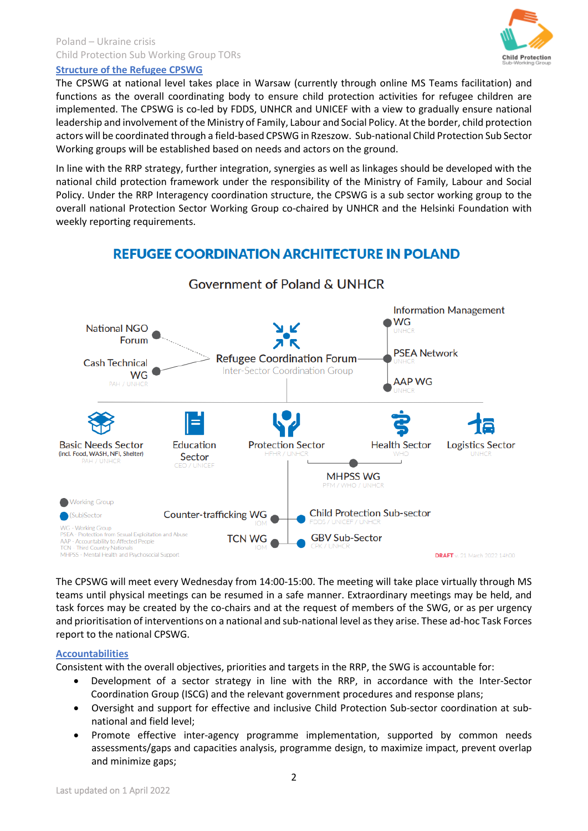## Poland – Ukraine crisis Child Protection Sub Working Group TORs



## **Structure of the Refugee CPSWG**

The CPSWG at national level takes place in Warsaw (currently through online MS Teams facilitation) and functions as the overall coordinating body to ensure child protection activities for refugee children are implemented. The CPSWG is co-led by FDDS, UNHCR and UNICEF with a view to gradually ensure national leadership and involvement of the Ministry of Family, Labour and Social Policy. At the border, child protection actors will be coordinated through a field-based CPSWG in Rzeszow. Sub-national Child Protection Sub Sector Working groups will be established based on needs and actors on the ground.

In line with the RRP strategy, further integration, synergies as well as linkages should be developed with the national child protection framework under the responsibility of the Ministry of Family, Labour and Social Policy. Under the RRP Interagency coordination structure, the CPSWG is a sub sector working group to the overall national Protection Sector Working Group co-chaired by UNHCR and the Helsinki Foundation with weekly reporting requirements.

# **REFUGEE COORDINATION ARCHITECTURE IN POLAND**



**Government of Poland & UNHCR** 

The CPSWG will meet every Wednesday from 14:00-15:00. The meeting will take place virtually through MS teams until physical meetings can be resumed in a safe manner. Extraordinary meetings may be held, and task forces may be created by the co-chairs and at the request of members of the SWG, or as per urgency and prioritisation of interventions on a national and sub-national level as they arise. These ad-hoc Task Forces report to the national CPSWG.

## **Accountabilities**

Consistent with the overall objectives, priorities and targets in the RRP, the SWG is accountable for:

- Development of a sector strategy in line with the RRP, in accordance with the Inter-Sector Coordination Group (ISCG) and the relevant government procedures and response plans;
- Oversight and support for effective and inclusive Child Protection Sub-sector coordination at subnational and field level;
- Promote effective inter-agency programme implementation, supported by common needs assessments/gaps and capacities analysis, programme design, to maximize impact, prevent overlap and minimize gaps;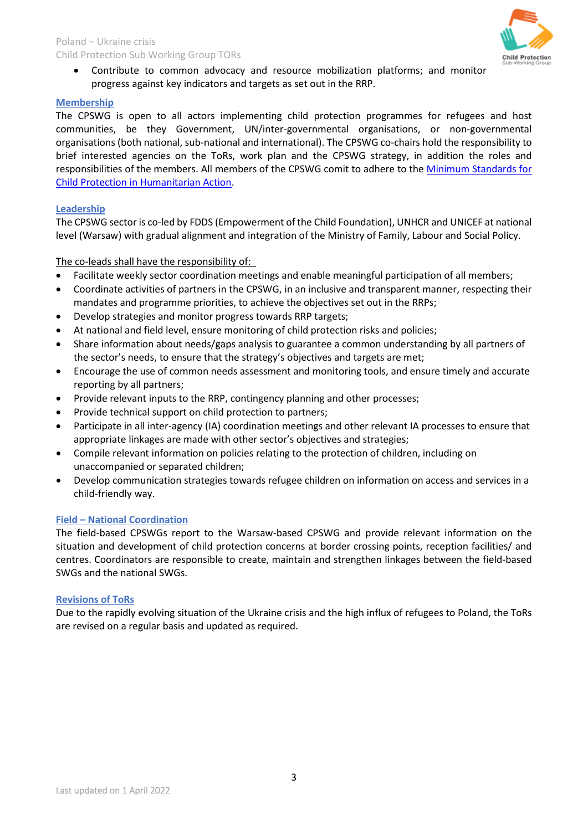#### Poland – Ukraine crisis Child Protection Sub Working Group TORs



• Contribute to common advocacy and resource mobilization platforms; and monitor progress against key indicators and targets as set out in the RRP.

#### **Membership**

The CPSWG is open to all actors implementing child protection programmes for refugees and host communities, be they Government, UN/inter-governmental organisations, or non-governmental organisations (both national, sub-national and international). The CPSWG co-chairs hold the responsibility to brief interested agencies on the ToRs, work plan and the CPSWG strategy, in addition the roles and responsibilities of the members. All members of the CPSWG comit to adhere to the [Minimum Standards for](https://alliancecpha.org/en/CPMS_home)  [Child Protection in Humanitarian Action.](https://alliancecpha.org/en/CPMS_home)

#### **Leadership**

The CPSWG sector is co-led by FDDS (Empowerment of the Child Foundation), UNHCR and UNICEF at national level (Warsaw) with gradual alignment and integration of the Ministry of Family, Labour and Social Policy.

#### The co-leads shall have the responsibility of:

- Facilitate weekly sector coordination meetings and enable meaningful participation of all members;
- Coordinate activities of partners in the CPSWG, in an inclusive and transparent manner, respecting their mandates and programme priorities, to achieve the objectives set out in the RRPs;
- Develop strategies and monitor progress towards RRP targets;
- At national and field level, ensure monitoring of child protection risks and policies;
- Share information about needs/gaps analysis to guarantee a common understanding by all partners of the sector's needs, to ensure that the strategy's objectives and targets are met;
- Encourage the use of common needs assessment and monitoring tools, and ensure timely and accurate reporting by all partners;
- Provide relevant inputs to the RRP, contingency planning and other processes;
- Provide technical support on child protection to partners;
- Participate in all inter-agency (IA) coordination meetings and other relevant IA processes to ensure that appropriate linkages are made with other sector's objectives and strategies;
- Compile relevant information on policies relating to the protection of children, including on unaccompanied or separated children;
- Develop communication strategies towards refugee children on information on access and services in a child-friendly way.

## **Field – National Coordination**

The field-based CPSWGs report to the Warsaw-based CPSWG and provide relevant information on the situation and development of child protection concerns at border crossing points, reception facilities/ and centres. Coordinators are responsible to create, maintain and strengthen linkages between the field-based SWGs and the national SWGs.

#### **Revisions of ToRs**

Due to the rapidly evolving situation of the Ukraine crisis and the high influx of refugees to Poland, the ToRs are revised on a regular basis and updated as required.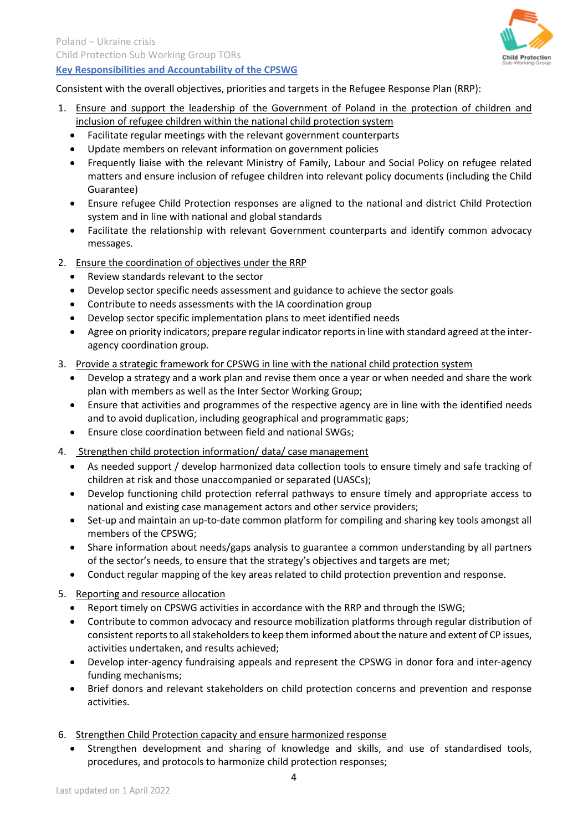

# **Key Responsibilities and Accountability of the CPSWG**

Consistent with the overall objectives, priorities and targets in the Refugee Response Plan (RRP):

- 1. Ensure and support the leadership of the Government of Poland in the protection of children and inclusion of refugee children within the national child protection system
	- Facilitate regular meetings with the relevant government counterparts
	- Update members on relevant information on government policies
	- Frequently liaise with the relevant Ministry of Family, Labour and Social Policy on refugee related matters and ensure inclusion of refugee children into relevant policy documents (including the Child Guarantee)
	- Ensure refugee Child Protection responses are aligned to the national and district Child Protection system and in line with national and global standards
	- Facilitate the relationship with relevant Government counterparts and identify common advocacy messages.
- 2. Ensure the coordination of objectives under the RRP
	- Review standards relevant to the sector
	- Develop sector specific needs assessment and guidance to achieve the sector goals
	- Contribute to needs assessments with the IA coordination group
	- Develop sector specific implementation plans to meet identified needs
	- Agree on priority indicators; prepare regular indicator reports in line with standard agreed at the interagency coordination group.
- 3. Provide a strategic framework for CPSWG in line with the national child protection system
	- Develop a strategy and a work plan and revise them once a year or when needed and share the work plan with members as well as the Inter Sector Working Group;
	- Ensure that activities and programmes of the respective agency are in line with the identified needs and to avoid duplication, including geographical and programmatic gaps;
	- Ensure close coordination between field and national SWGs;
- 4. Strengthen child protection information/ data/ case management
	- As needed support / develop harmonized data collection tools to ensure timely and safe tracking of children at risk and those unaccompanied or separated (UASCs);
	- Develop functioning child protection referral pathways to ensure timely and appropriate access to national and existing case management actors and other service providers;
	- Set-up and maintain an up-to-date common platform for compiling and sharing key tools amongst all members of the CPSWG;
	- Share information about needs/gaps analysis to guarantee a common understanding by all partners of the sector's needs, to ensure that the strategy's objectives and targets are met;
	- Conduct regular mapping of the key areas related to child protection prevention and response.
- 5. Reporting and resource allocation
	- Report timely on CPSWG activities in accordance with the RRP and through the ISWG;
	- Contribute to common advocacy and resource mobilization platforms through regular distribution of consistent reports to all stakeholders to keep them informed about the nature and extent of CP issues, activities undertaken, and results achieved;
	- Develop inter-agency fundraising appeals and represent the CPSWG in donor fora and inter-agency funding mechanisms;
	- Brief donors and relevant stakeholders on child protection concerns and prevention and response activities.
- 6. Strengthen Child Protection capacity and ensure harmonized response
	- Strengthen development and sharing of knowledge and skills, and use of standardised tools, procedures, and protocols to harmonize child protection responses;